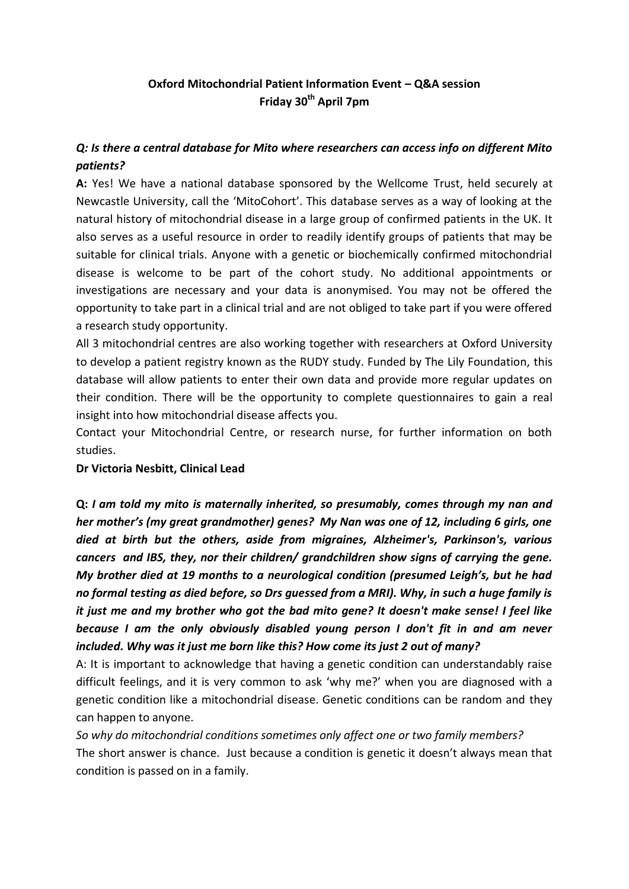## **Oxford Mitochondrial Patient Information Event – Q&A session Friday 30th April 7pm**

### *Q: Is there a central database for Mito where researchers can access info on different Mito patients?*

**A:** Yes! We have a national database sponsored by the Wellcome Trust, held securely at Newcastle University, call the 'MitoCohort'. This database serves as a way of looking at the natural history of mitochondrial disease in a large group of confirmed patients in the UK. It also serves as a useful resource in order to readily identify groups of patients that may be suitable for clinical trials. Anyone with a genetic or biochemically confirmed mitochondrial disease is welcome to be part of the cohort study. No additional appointments or investigations are necessary and your data is anonymised. You may not be offered the opportunity to take part in a clinical trial and are not obliged to take part if you were offered a research study opportunity.

All 3 mitochondrial centres are also working together with researchers at Oxford University to develop a patient registry known as the RUDY study. Funded by The Lily Foundation, this database will allow patients to enter their own data and provide more regular updates on their condition. There will be the opportunity to complete questionnaires to gain a real insight into how mitochondrial disease affects you.

Contact your Mitochondrial Centre, or research nurse, for further information on both studies.

### **Dr Victoria Nesbitt, Clinical Lead**

**Q:** *I am told my mito is maternally inherited, so presumably, comes through my nan and her mother's (my great grandmother) genes? My Nan was one of 12, including 6 girls, one died at birth but the others, aside from migraines, Alzheimer's, Parkinson's, various cancers and IBS, they, nor their children/ grandchildren show signs of carrying the gene. My brother died at 19 months to a neurological condition (presumed Leigh's, but he had no formal testing as died before, so Drs guessed from a MRI). Why, in such a huge family is it just me and my brother who got the bad mito gene? It doesn't make sense! I feel like because I am the only obviously disabled young person I don't fit in and am never included. Why was it just me born like this? How come its just 2 out of many?*

A: It is important to acknowledge that having a genetic condition can understandably raise difficult feelings, and it is very common to ask 'why me?' when you are diagnosed with a genetic condition like a mitochondrial disease. Genetic conditions can be random and they can happen to anyone.

*So why do mitochondrial conditions sometimes only affect one or two family members?*  The short answer is chance. Just because a condition is genetic it doesn't always mean that condition is passed on in a family.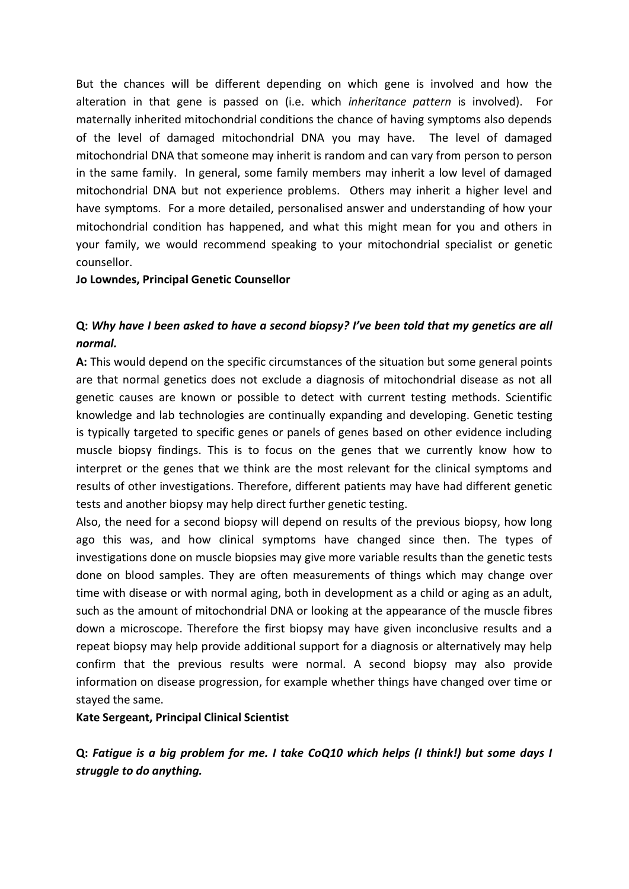But the chances will be different depending on which gene is involved and how the alteration in that gene is passed on (i.e. which *inheritance pattern* is involved). For maternally inherited mitochondrial conditions the chance of having symptoms also depends of the level of damaged mitochondrial DNA you may have. The level of damaged mitochondrial DNA that someone may inherit is random and can vary from person to person in the same family. In general, some family members may inherit a low level of damaged mitochondrial DNA but not experience problems. Others may inherit a higher level and have symptoms. For a more detailed, personalised answer and understanding of how your mitochondrial condition has happened, and what this might mean for you and others in your family, we would recommend speaking to your mitochondrial specialist or genetic counsellor.

#### **Jo Lowndes, Principal Genetic Counsellor**

### **Q:** *Why have I been asked to have a second biopsy? I've been told that my genetics are all normal.*

**A:** This would depend on the specific circumstances of the situation but some general points are that normal genetics does not exclude a diagnosis of mitochondrial disease as not all genetic causes are known or possible to detect with current testing methods. Scientific knowledge and lab technologies are continually expanding and developing. Genetic testing is typically targeted to specific genes or panels of genes based on other evidence including muscle biopsy findings. This is to focus on the genes that we currently know how to interpret or the genes that we think are the most relevant for the clinical symptoms and results of other investigations. Therefore, different patients may have had different genetic tests and another biopsy may help direct further genetic testing.

Also, the need for a second biopsy will depend on results of the previous biopsy, how long ago this was, and how clinical symptoms have changed since then. The types of investigations done on muscle biopsies may give more variable results than the genetic tests done on blood samples. They are often measurements of things which may change over time with disease or with normal aging, both in development as a child or aging as an adult, such as the amount of mitochondrial DNA or looking at the appearance of the muscle fibres down a microscope. Therefore the first biopsy may have given inconclusive results and a repeat biopsy may help provide additional support for a diagnosis or alternatively may help confirm that the previous results were normal. A second biopsy may also provide information on disease progression, for example whether things have changed over time or stayed the same.

#### **Kate Sergeant, Principal Clinical Scientist**

**Q:** *Fatigue is a big problem for me. I take CoQ10 which helps (I think!) but some days I struggle to do anything.*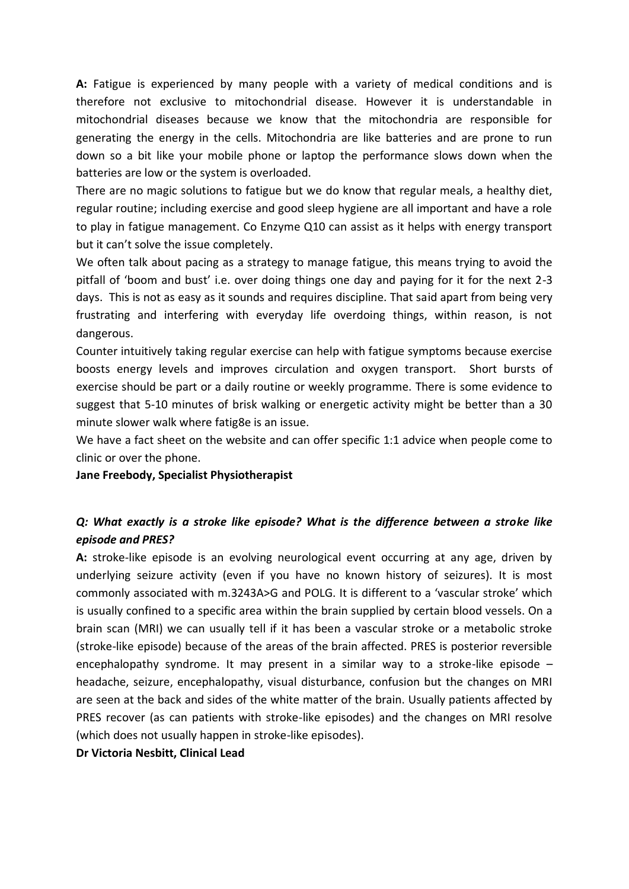**A:** Fatigue is experienced by many people with a variety of medical conditions and is therefore not exclusive to mitochondrial disease. However it is understandable in mitochondrial diseases because we know that the mitochondria are responsible for generating the energy in the cells. Mitochondria are like batteries and are prone to run down so a bit like your mobile phone or laptop the performance slows down when the batteries are low or the system is overloaded.

There are no magic solutions to fatigue but we do know that regular meals, a healthy diet, regular routine; including exercise and good sleep hygiene are all important and have a role to play in fatigue management. Co Enzyme Q10 can assist as it helps with energy transport but it can't solve the issue completely.

We often talk about pacing as a strategy to manage fatigue, this means trying to avoid the pitfall of 'boom and bust' i.e. over doing things one day and paying for it for the next 2-3 days. This is not as easy as it sounds and requires discipline. That said apart from being very frustrating and interfering with everyday life overdoing things, within reason, is not dangerous.

Counter intuitively taking regular exercise can help with fatigue symptoms because exercise boosts energy levels and improves circulation and oxygen transport. Short bursts of exercise should be part or a daily routine or weekly programme. There is some evidence to suggest that 5-10 minutes of brisk walking or energetic activity might be better than a 30 minute slower walk where fatig8e is an issue.

We have a fact sheet on the website and can offer specific 1:1 advice when people come to clinic or over the phone.

**Jane Freebody, Specialist Physiotherapist**

### *Q: What exactly is a stroke like episode? What is the difference between a stroke like episode and PRES?*

**A:** stroke-like episode is an evolving neurological event occurring at any age, driven by underlying seizure activity (even if you have no known history of seizures). It is most commonly associated with m.3243A>G and POLG. It is different to a 'vascular stroke' which is usually confined to a specific area within the brain supplied by certain blood vessels. On a brain scan (MRI) we can usually tell if it has been a vascular stroke or a metabolic stroke (stroke-like episode) because of the areas of the brain affected. PRES is posterior reversible encephalopathy syndrome. It may present in a similar way to a stroke-like episode  $$ headache, seizure, encephalopathy, visual disturbance, confusion but the changes on MRI are seen at the back and sides of the white matter of the brain. Usually patients affected by PRES recover (as can patients with stroke-like episodes) and the changes on MRI resolve (which does not usually happen in stroke-like episodes).

**Dr Victoria Nesbitt, Clinical Lead**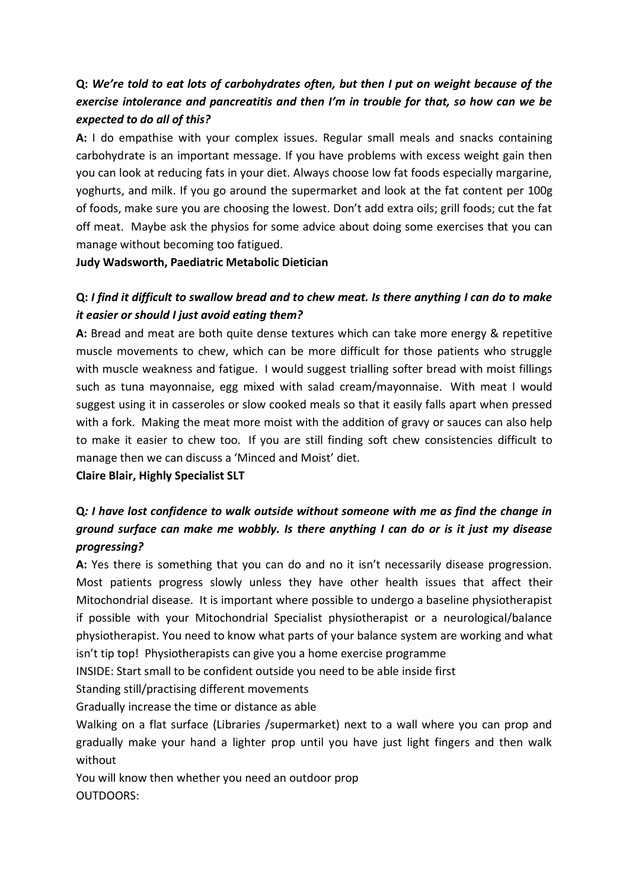# **Q:** *We're told to eat lots of carbohydrates often, but then I put on weight because of the exercise intolerance and pancreatitis and then I'm in trouble for that, so how can we be expected to do all of this?*

**A:** I do empathise with your complex issues. Regular small meals and snacks containing carbohydrate is an important message. If you have problems with excess weight gain then you can look at reducing fats in your diet. Always choose low fat foods especially margarine, yoghurts, and milk. If you go around the supermarket and look at the fat content per 100g of foods, make sure you are choosing the lowest. Don't add extra oils; grill foods; cut the fat off meat. Maybe ask the physios for some advice about doing some exercises that you can manage without becoming too fatigued.

**Judy Wadsworth, Paediatric Metabolic Dietician**

### **Q:** *I find it difficult to swallow bread and to chew meat. Is there anything I can do to make it easier or should I just avoid eating them?*

**A:** Bread and meat are both quite dense textures which can take more energy & repetitive muscle movements to chew, which can be more difficult for those patients who struggle with muscle weakness and fatigue. I would suggest trialling softer bread with moist fillings such as tuna mayonnaise, egg mixed with salad cream/mayonnaise. With meat I would suggest using it in casseroles or slow cooked meals so that it easily falls apart when pressed with a fork. Making the meat more moist with the addition of gravy or sauces can also help to make it easier to chew too. If you are still finding soft chew consistencies difficult to manage then we can discuss a 'Minced and Moist' diet.

**Claire Blair, Highly Specialist SLT**

## **Q***: I have lost confidence to walk outside without someone with me as find the change in ground surface can make me wobbly. Is there anything I can do or is it just my disease progressing?*

**A:** Yes there is something that you can do and no it isn't necessarily disease progression. Most patients progress slowly unless they have other health issues that affect their Mitochondrial disease. It is important where possible to undergo a baseline physiotherapist if possible with your Mitochondrial Specialist physiotherapist or a neurological/balance physiotherapist. You need to know what parts of your balance system are working and what isn't tip top! Physiotherapists can give you a home exercise programme

INSIDE: Start small to be confident outside you need to be able inside first

Standing still/practising different movements

Gradually increase the time or distance as able

Walking on a flat surface (Libraries /supermarket) next to a wall where you can prop and gradually make your hand a lighter prop until you have just light fingers and then walk without

You will know then whether you need an outdoor prop OUTDOORS: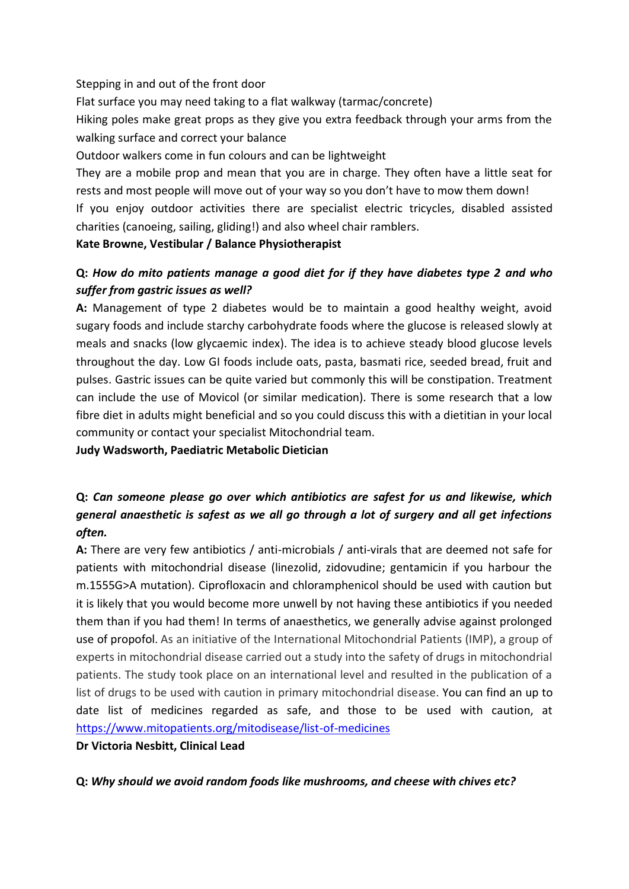### Stepping in and out of the front door

Flat surface you may need taking to a flat walkway (tarmac/concrete)

Hiking poles make great props as they give you extra feedback through your arms from the walking surface and correct your balance

Outdoor walkers come in fun colours and can be lightweight

They are a mobile prop and mean that you are in charge. They often have a little seat for rests and most people will move out of your way so you don't have to mow them down!

If you enjoy outdoor activities there are specialist electric tricycles, disabled assisted charities (canoeing, sailing, gliding!) and also wheel chair ramblers.

### **Kate Browne, Vestibular / Balance Physiotherapist**

### **Q:** *How do mito patients manage a good diet for if they have diabetes type 2 and who suffer from gastric issues as well?*

**A:** Management of type 2 diabetes would be to maintain a good healthy weight, avoid sugary foods and include starchy carbohydrate foods where the glucose is released slowly at meals and snacks (low glycaemic index). The idea is to achieve steady blood glucose levels throughout the day. Low GI foods include oats, pasta, basmati rice, seeded bread, fruit and pulses. Gastric issues can be quite varied but commonly this will be constipation. Treatment can include the use of Movicol (or similar medication). There is some research that a low fibre diet in adults might beneficial and so you could discuss this with a dietitian in your local community or contact your specialist Mitochondrial team.

**Judy Wadsworth, Paediatric Metabolic Dietician**

# **Q:** *Can someone please go over which antibiotics are safest for us and likewise, which general anaesthetic is safest as we all go through a lot of surgery and all get infections often.*

**A:** There are very few antibiotics / anti-microbials / anti-virals that are deemed not safe for patients with mitochondrial disease (linezolid, zidovudine; gentamicin if you harbour the m.1555G>A mutation). Ciprofloxacin and chloramphenicol should be used with caution but it is likely that you would become more unwell by not having these antibiotics if you needed them than if you had them! In terms of anaesthetics, we generally advise against prolonged use of propofol. As an initiative of the International Mitochondrial Patients (IMP), a group of experts in mitochondrial disease carried out a study into the safety of drugs in mitochondrial patients. The study took place on an international level and resulted in the publication of a list of drugs to be used with caution in primary mitochondrial disease. You can find an up to date list of medicines regarded as safe, and those to be used with caution, at <https://www.mitopatients.org/mitodisease/list-of-medicines>

**Dr Victoria Nesbitt, Clinical Lead**

**Q:** *Why should we avoid random foods like mushrooms, and cheese with chives etc?*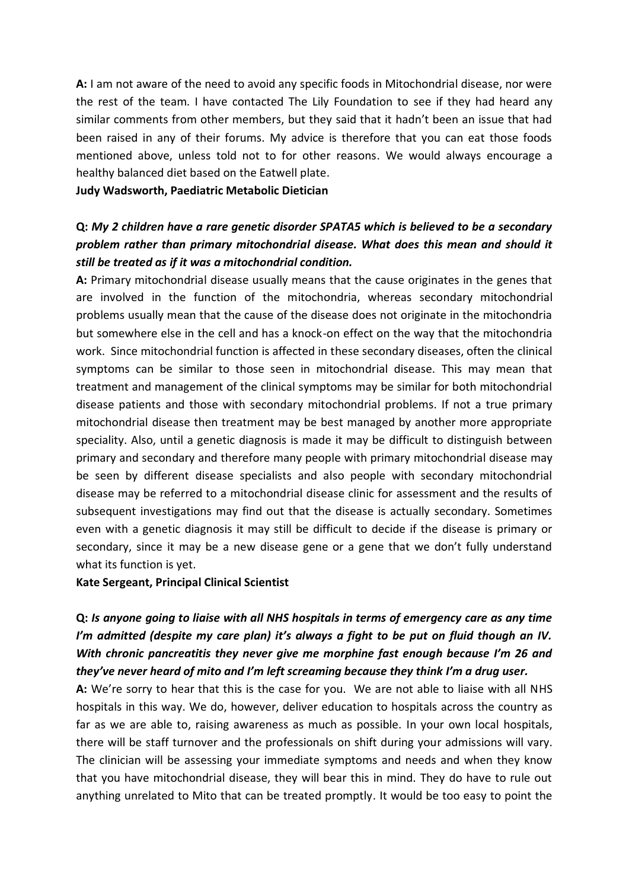**A:** I am not aware of the need to avoid any specific foods in Mitochondrial disease, nor were the rest of the team. I have contacted The Lily Foundation to see if they had heard any similar comments from other members, but they said that it hadn't been an issue that had been raised in any of their forums. My advice is therefore that you can eat those foods mentioned above, unless told not to for other reasons. We would always encourage a healthy balanced diet based on the Eatwell plate.

#### **Judy Wadsworth, Paediatric Metabolic Dietician**

## **Q:** *My 2 children have a rare genetic disorder SPATA5 which is believed to be a secondary problem rather than primary mitochondrial disease. What does this mean and should it still be treated as if it was a mitochondrial condition.*

**A:** Primary mitochondrial disease usually means that the cause originates in the genes that are involved in the function of the mitochondria, whereas secondary mitochondrial problems usually mean that the cause of the disease does not originate in the mitochondria but somewhere else in the cell and has a knock-on effect on the way that the mitochondria work. Since mitochondrial function is affected in these secondary diseases, often the clinical symptoms can be similar to those seen in mitochondrial disease. This may mean that treatment and management of the clinical symptoms may be similar for both mitochondrial disease patients and those with secondary mitochondrial problems. If not a true primary mitochondrial disease then treatment may be best managed by another more appropriate speciality. Also, until a genetic diagnosis is made it may be difficult to distinguish between primary and secondary and therefore many people with primary mitochondrial disease may be seen by different disease specialists and also people with secondary mitochondrial disease may be referred to a mitochondrial disease clinic for assessment and the results of subsequent investigations may find out that the disease is actually secondary. Sometimes even with a genetic diagnosis it may still be difficult to decide if the disease is primary or secondary, since it may be a new disease gene or a gene that we don't fully understand what its function is yet.

#### **Kate Sergeant, Principal Clinical Scientist**

# **Q:** *Is anyone going to liaise with all NHS hospitals in terms of emergency care as any time I'm admitted (despite my care plan) it's always a fight to be put on fluid though an IV. With chronic pancreatitis they never give me morphine fast enough because I'm 26 and they've never heard of mito and I'm left screaming because they think I'm a drug user.*

**A:** We're sorry to hear that this is the case for you. We are not able to liaise with all NHS hospitals in this way. We do, however, deliver education to hospitals across the country as far as we are able to, raising awareness as much as possible. In your own local hospitals, there will be staff turnover and the professionals on shift during your admissions will vary. The clinician will be assessing your immediate symptoms and needs and when they know that you have mitochondrial disease, they will bear this in mind. They do have to rule out anything unrelated to Mito that can be treated promptly. It would be too easy to point the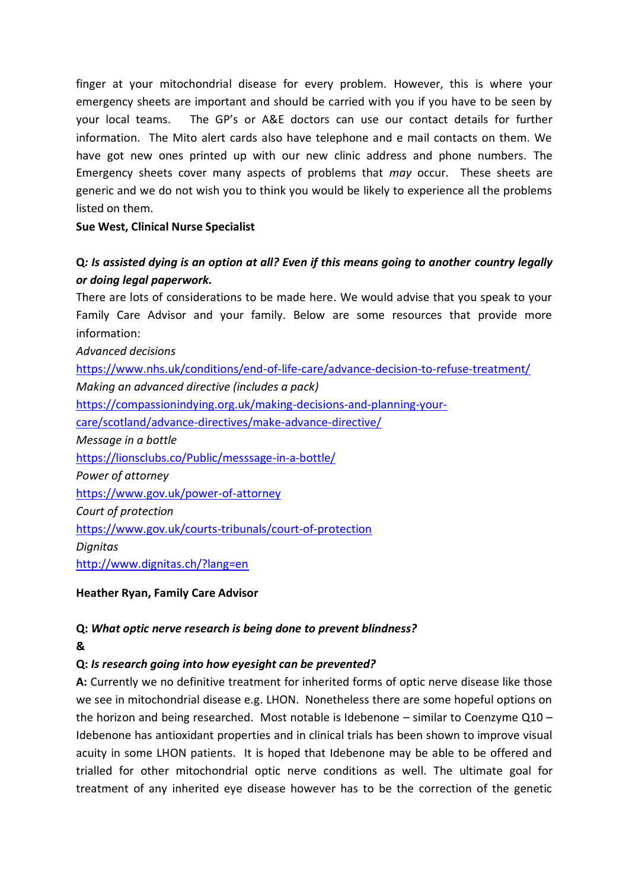finger at your mitochondrial disease for every problem. However, this is where your emergency sheets are important and should be carried with you if you have to be seen by your local teams. The GP's or A&E doctors can use our contact details for further information. The Mito alert cards also have telephone and e mail contacts on them. We have got new ones printed up with our new clinic address and phone numbers. The Emergency sheets cover many aspects of problems that *may* occur. These sheets are generic and we do not wish you to think you would be likely to experience all the problems listed on them.

**Sue West, Clinical Nurse Specialist**

# **Q***: Is assisted dying is an option at all? Even if this means going to another country legally or doing legal paperwork.*

There are lots of considerations to be made here. We would advise that you speak to your Family Care Advisor and your family. Below are some resources that provide more information:

*Advanced decisions* <https://www.nhs.uk/conditions/end-of-life-care/advance-decision-to-refuse-treatment/> *Making an advanced directive (includes a pack)* [https://compassionindying.org.uk/making-decisions-and-planning-your](https://compassionindying.org.uk/making-decisions-and-planning-your-care/scotland/advance-directives/make-advance-directive/)[care/scotland/advance-directives/make-advance-directive/](https://compassionindying.org.uk/making-decisions-and-planning-your-care/scotland/advance-directives/make-advance-directive/) *Message in a bottle* <https://lionsclubs.co/Public/messsage-in-a-bottle/> *Power of attorney* <https://www.gov.uk/power-of-attorney> *Court of protection* <https://www.gov.uk/courts-tribunals/court-of-protection> *Dignitas* <http://www.dignitas.ch/?lang=en>

**Heather Ryan, Family Care Advisor**

### **Q:** *What optic nerve research is being done to prevent blindness?* **&**

## **Q:** *Is research going into how eyesight can be prevented?*

**A:** Currently we no definitive treatment for inherited forms of optic nerve disease like those we see in mitochondrial disease e.g. LHON. Nonetheless there are some hopeful options on the horizon and being researched. Most notable is Idebenone  $-$  similar to Coenzyme Q10  $-$ Idebenone has antioxidant properties and in clinical trials has been shown to improve visual acuity in some LHON patients. It is hoped that Idebenone may be able to be offered and trialled for other mitochondrial optic nerve conditions as well. The ultimate goal for treatment of any inherited eye disease however has to be the correction of the genetic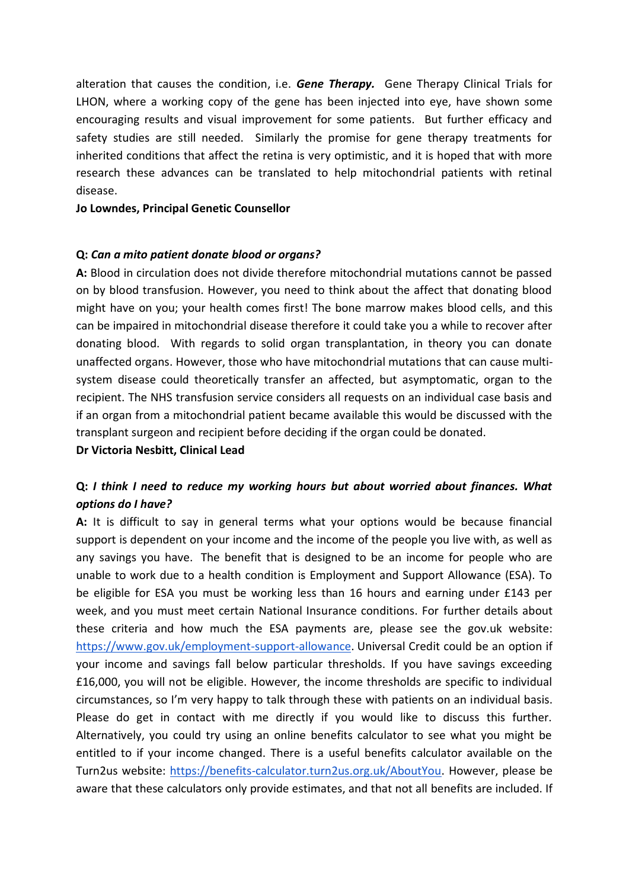alteration that causes the condition, i.e. *Gene Therapy.* Gene Therapy Clinical Trials for LHON, where a working copy of the gene has been injected into eye, have shown some encouraging results and visual improvement for some patients. But further efficacy and safety studies are still needed. Similarly the promise for gene therapy treatments for inherited conditions that affect the retina is very optimistic, and it is hoped that with more research these advances can be translated to help mitochondrial patients with retinal disease.

#### **Jo Lowndes, Principal Genetic Counsellor**

#### **Q:** *Can a mito patient donate blood or organs?*

**A:** Blood in circulation does not divide therefore mitochondrial mutations cannot be passed on by blood transfusion. However, you need to think about the affect that donating blood might have on you; your health comes first! The bone marrow makes blood cells, and this can be impaired in mitochondrial disease therefore it could take you a while to recover after donating blood. With regards to solid organ transplantation, in theory you can donate unaffected organs. However, those who have mitochondrial mutations that can cause multisystem disease could theoretically transfer an affected, but asymptomatic, organ to the recipient. The NHS transfusion service considers all requests on an individual case basis and if an organ from a mitochondrial patient became available this would be discussed with the transplant surgeon and recipient before deciding if the organ could be donated.

**Dr Victoria Nesbitt, Clinical Lead**

### **Q:** *I think I need to reduce my working hours but about worried about finances. What options do I have?*

**A:** It is difficult to say in general terms what your options would be because financial support is dependent on your income and the income of the people you live with, as well as any savings you have. The benefit that is designed to be an income for people who are unable to work due to a health condition is Employment and Support Allowance (ESA). To be eligible for ESA you must be working less than 16 hours and earning under £143 per week, and you must meet certain National Insurance conditions. For further details about these criteria and how much the ESA payments are, please see the gov.uk website: [https://www.gov.uk/employment-support-allowance.](https://www.gov.uk/employment-support-allowance) Universal Credit could be an option if your income and savings fall below particular thresholds. If you have savings exceeding £16,000, you will not be eligible. However, the income thresholds are specific to individual circumstances, so I'm very happy to talk through these with patients on an individual basis. Please do get in contact with me directly if you would like to discuss this further. Alternatively, you could try using an online benefits calculator to see what you might be entitled to if your income changed. There is a useful benefits calculator available on the Turn2us website: [https://benefits-calculator.turn2us.org.uk/AboutYou.](https://benefits-calculator.turn2us.org.uk/AboutYou) However, please be aware that these calculators only provide estimates, and that not all benefits are included. If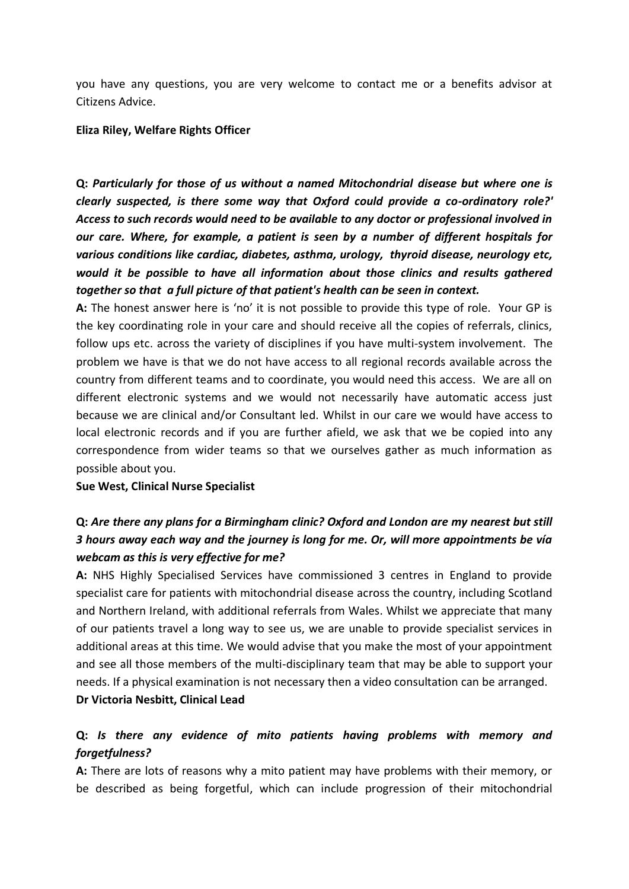you have any questions, you are very welcome to contact me or a benefits advisor at Citizens Advice.

**Eliza Riley, Welfare Rights Officer**

**Q:** *Particularly for those of us without a named Mitochondrial disease but where one is clearly suspected, is there some way that Oxford could provide a co-ordinatory role?' Access to such records would need to be available to any doctor or professional involved in our care. Where, for example, a patient is seen by a number of different hospitals for various conditions like cardiac, diabetes, asthma, urology, thyroid disease, neurology etc, would it be possible to have all information about those clinics and results gathered together so that a full picture of that patient's health can be seen in context.*

**A:** The honest answer here is 'no' it is not possible to provide this type of role. Your GP is the key coordinating role in your care and should receive all the copies of referrals, clinics, follow ups etc. across the variety of disciplines if you have multi-system involvement. The problem we have is that we do not have access to all regional records available across the country from different teams and to coordinate, you would need this access. We are all on different electronic systems and we would not necessarily have automatic access just because we are clinical and/or Consultant led. Whilst in our care we would have access to local electronic records and if you are further afield, we ask that we be copied into any correspondence from wider teams so that we ourselves gather as much information as possible about you.

**Sue West, Clinical Nurse Specialist**

## **Q:** *Are there any plans for a Birmingham clinic? Oxford and London are my nearest but still 3 hours away each way and the journey is long for me. Or, will more appointments be vía webcam as this is very effective for me?*

**A:** NHS Highly Specialised Services have commissioned 3 centres in England to provide specialist care for patients with mitochondrial disease across the country, including Scotland and Northern Ireland, with additional referrals from Wales. Whilst we appreciate that many of our patients travel a long way to see us, we are unable to provide specialist services in additional areas at this time. We would advise that you make the most of your appointment and see all those members of the multi-disciplinary team that may be able to support your needs. If a physical examination is not necessary then a video consultation can be arranged. **Dr Victoria Nesbitt, Clinical Lead**

## **Q:** *Is there any evidence of mito patients having problems with memory and forgetfulness?*

**A:** There are lots of reasons why a mito patient may have problems with their memory, or be described as being forgetful, which can include progression of their mitochondrial